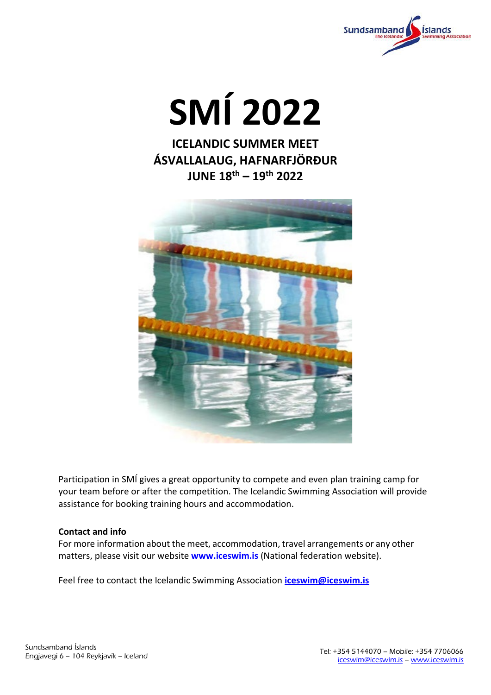

**SMÍ 2022**

**ICELANDIC SUMMER MEET ÁSVALLALAUG, HAFNARFJÖRÐUR JUNE 18th – 19th 2022**



Participation in SMÍ gives a great opportunity to compete and even plan training camp for your team before or after the competition. The Icelandic Swimming Association will provide assistance for booking training hours and accommodation.

### **Contact and info**

For more information about the meet, accommodation, travel arrangements or any other matters, please visit our website **[www.iceswim.is](http://www.iceswim.is/)** (National federation website).

Feel free to contact the Icelandic Swimming Association **[iceswim@iceswim.is](mailto:iceswim@iceswim.is)**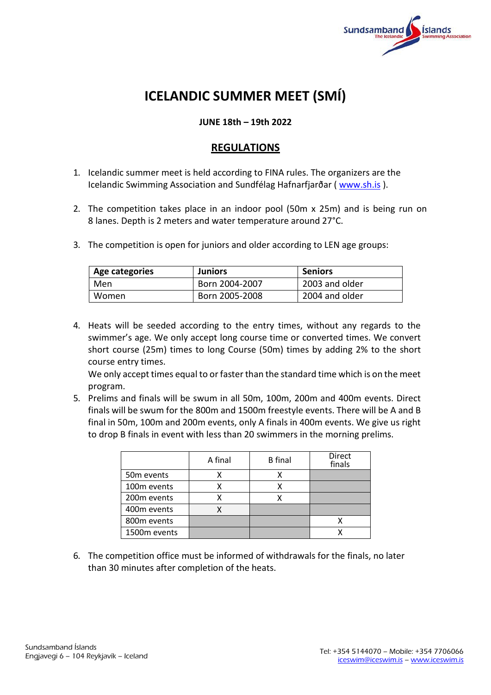

# **ICELANDIC SUMMER MEET (SMÍ)**

# **JUNE 18th – 19th 2022**

# **REGULATIONS**

- 1. Icelandic summer meet is held according to FINA rules. The organizers are the Icelandic Swimming Association and Sundfélag Hafnarfjarðar ( [www.sh.is](http://www.sh.is/) ).
- 2. The competition takes place in an indoor pool (50m x 25m) and is being run on 8 lanes. Depth is 2 meters and water temperature around 27°C.
- 3. The competition is open for juniors and older according to LEN age groups:

| Age categories | <b>Juniors</b> | <b>Seniors</b> |  |
|----------------|----------------|----------------|--|
| Men            | Born 2004-2007 | 2003 and older |  |
| Women          | Born 2005-2008 | 2004 and older |  |

4. Heats will be seeded according to the entry times, without any regards to the swimmer's age. We only accept long course time or converted times. We convert short course (25m) times to long Course (50m) times by adding 2% to the short course entry times.

We only accept times equal to or faster than the standard time which is on the meet program.

5. Prelims and finals will be swum in all 50m, 100m, 200m and 400m events. Direct finals will be swum for the 800m and 1500m freestyle events. There will be A and B final in 50m, 100m and 200m events, only A finals in 400m events. We give us right to drop B finals in event with less than 20 swimmers in the morning prelims.

|                         | A final | <b>B</b> final | <b>Direct</b><br>finals |
|-------------------------|---------|----------------|-------------------------|
| 50 <sub>m</sub> events  |         |                |                         |
| 100 <sub>m</sub> events |         |                |                         |
| 200 <sub>m</sub> events |         |                |                         |
| 400m events             |         |                |                         |
| 800m events             |         |                |                         |
| 1500m events            |         |                |                         |

6. The competition office must be informed of withdrawals for the finals, no later than 30 minutes after completion of the heats.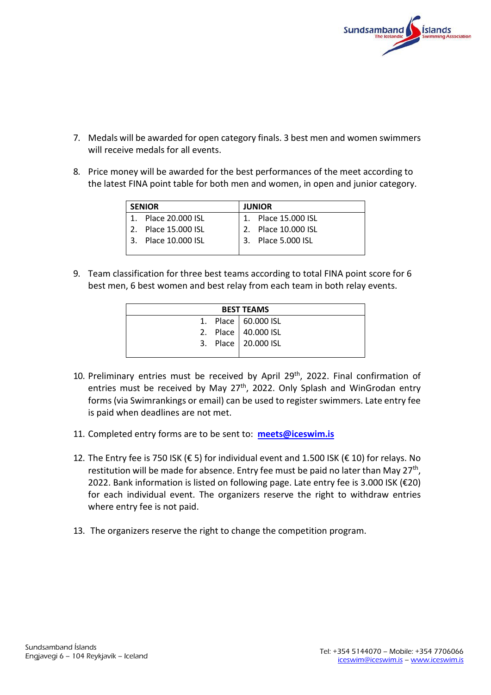

- 7. Medals will be awarded for open category finals. 3 best men and women swimmers will receive medals for all events.
- 8. Price money will be awarded for the best performances of the meet according to the latest FINA point table for both men and women, in open and junior category.

| <b>SENIOR</b> |                     | <b>JUNIOR</b> |                     |  |  |  |
|---------------|---------------------|---------------|---------------------|--|--|--|
|               | 1. Place 20,000 ISL |               | 1. Place 15,000 ISL |  |  |  |
|               | 2. Place 15,000 ISL |               | 2. Place 10,000 ISL |  |  |  |
|               | 3. Place 10,000 ISL |               | 3. Place 5.000 ISL  |  |  |  |
|               |                     |               |                     |  |  |  |

9. Team classification for three best teams according to total FINA point score for 6 best men, 6 best women and best relay from each team in both relay events.

| <b>BEST TEAMS</b> |  |                       |  |  |
|-------------------|--|-----------------------|--|--|
|                   |  | 1. Place   60.000 ISL |  |  |
|                   |  | 2. Place   40.000 ISL |  |  |
|                   |  | 3. Place   20.000 ISL |  |  |
|                   |  |                       |  |  |

- 10. Preliminary entries must be received by April 29<sup>th</sup>, 2022. Final confirmation of entries must be received by May  $27<sup>th</sup>$ , 2022. Only Splash and WinGrodan entry forms (via Swimrankings or email) can be used to register swimmers. Late entry fee is paid when deadlines are not met.
- 11. Completed entry forms are to be sent to: **[meets@iceswim.is](mailto:meets@iceswim.is)**
- 12. The Entry fee is 750 ISK (€ 5) for individual event and 1.500 ISK (€ 10) for relays. No restitution will be made for absence. Entry fee must be paid no later than May 27<sup>th</sup>, 2022. Bank information is listed on following page. Late entry fee is 3.000 ISK (€20) for each individual event. The organizers reserve the right to withdraw entries where entry fee is not paid.
- 13. The organizers reserve the right to change the competition program.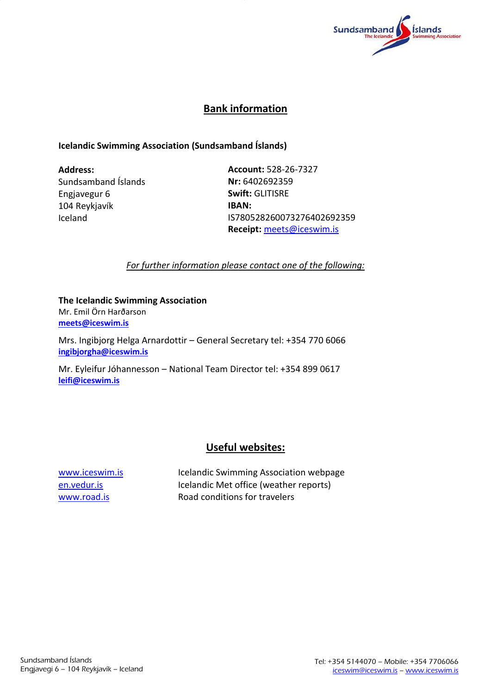

# **Bank information**

## **Icelandic Swimming Association (Sundsamband Íslands)**

**Address:**  Sundsamband Íslands Engjavegur 6 104 Reykjavík Iceland

**Account:** 528-26-7327 **Nr:** 6402692359 **Swift:** GLITISRE **IBAN:** IS780528260073276402692359 **Receipt:** [meets@iceswim.is](mailto:meets@iceswim.is)

*For further information please contact one of the following:*

#### **The Icelandic Swimming Association** Mr. Emil Örn Harðarson

**[meets@iceswim.is](mailto:meets@iceswim.is)**

Mrs. Ingibjorg Helga Arnardottir – General Secretary tel: +354 770 6066 **[ingibjorgha@iceswim.is](mailto:ingibjorgha@iceswim.is)**

Mr. Eyleifur Jóhannesson – National Team Director tel: +354 899 0617 **[leifi@iceswim.is](mailto:leifi@iceswim.is)**

# **Useful websites:**

[www.iceswim.is](http://www.iceswim.is/) Icelandic Swimming Association webpage [en.vedur.is](http://www.en.vedur.is/) Icelandic Met office (weather reports) [www.road.is](http://www.road.is/) Road conditions for travelers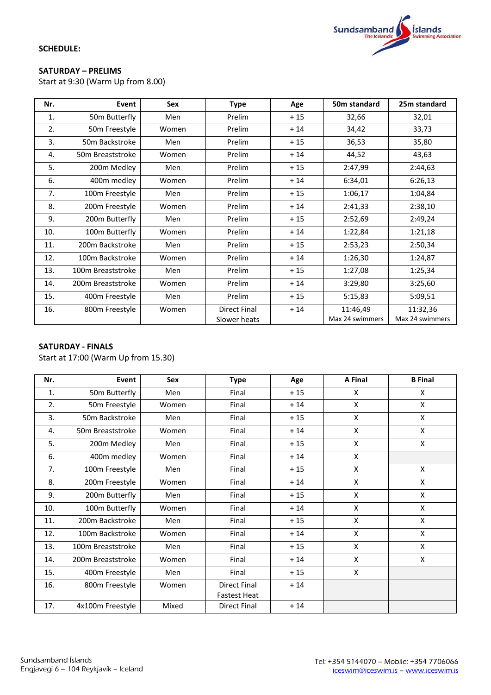

#### **SATURDAY – PRELIMS**

Start at 9:30 (Warm Up from 8.00)

| Nr. | Event             | <b>Sex</b> | <b>Type</b>                  | Age   | 50 <sub>m</sub> standard    | 25m standard                |
|-----|-------------------|------------|------------------------------|-------|-----------------------------|-----------------------------|
| 1.  | 50m Butterfly     | Men        | Prelim                       | $+15$ | 32,66                       | 32,01                       |
| 2.  | 50m Freestyle     | Women      | Prelim                       | $+14$ | 34,42                       | 33,73                       |
| 3.  | 50m Backstroke    | Men        | Prelim                       | $+15$ | 36,53                       | 35,80                       |
| 4.  | 50m Breaststroke  | Women      | Prelim                       | $+14$ | 44,52                       | 43,63                       |
| 5.  | 200m Medley       | Men        | Prelim                       | $+15$ | 2:47,99                     | 2:44,63                     |
| 6.  | 400m medley       | Women      | Prelim                       | $+14$ | 6:34,01                     | 6:26,13                     |
| 7.  | 100m Freestyle    | Men        | Prelim                       | $+15$ | 1:06,17                     | 1:04,84                     |
| 8.  | 200m Freestyle    | Women      | Prelim                       | $+14$ | 2:41,33                     | 2:38,10                     |
| 9.  | 200m Butterfly    | Men        | Prelim                       | $+15$ | 2:52,69                     | 2:49,24                     |
| 10. | 100m Butterfly    | Women      | Prelim                       | $+14$ | 1:22,84                     | 1:21,18                     |
| 11. | 200m Backstroke   | Men        | Prelim                       | $+15$ | 2:53,23                     | 2:50,34                     |
| 12. | 100m Backstroke   | Women      | Prelim                       | $+14$ | 1:26,30                     | 1:24,87                     |
| 13. | 100m Breaststroke | Men        | Prelim                       | $+15$ | 1:27,08                     | 1:25,34                     |
| 14. | 200m Breaststroke | Women      | Prelim                       | $+14$ | 3:29,80                     | 3:25,60                     |
| 15. | 400m Freestyle    | Men        | Prelim                       | $+15$ | 5:15,83                     | 5:09,51                     |
| 16. | 800m Freestyle    | Women      | Direct Final<br>Slower heats | $+14$ | 11:46,49<br>Max 24 swimmers | 11:32,36<br>Max 24 swimmers |

### **SATURDAY - FINALS**

Start at 17:00 (Warm Up from 15.30)

| Nr. | Event             | <b>Sex</b> | <b>Type</b>         | Age   | A Final      | <b>B</b> Final     |
|-----|-------------------|------------|---------------------|-------|--------------|--------------------|
| 1.  | 50m Butterfly     | Men        | Final               | $+15$ | X            | X                  |
| 2.  | 50m Freestyle     | Women      | Final               | $+14$ | X            | X                  |
| 3.  | 50m Backstroke    | Men        | Final               | $+15$ | X            | X                  |
| 4.  | 50m Breaststroke  | Women      | Final               | $+14$ | X            | X                  |
| 5.  | 200m Medley       | Men        | Final               | $+15$ | X            | X                  |
| 6.  | 400m medley       | Women      | Final               | $+14$ | X            |                    |
| 7.  | 100m Freestyle    | Men        | Final               | $+15$ | X            | X                  |
| 8.  | 200m Freestyle    | Women      | Final               | $+14$ | X            | X                  |
| 9.  | 200m Butterfly    | Men        | Final               | $+15$ | X            | $\mathsf{x}$       |
| 10. | 100m Butterfly    | Women      | Final               | $+14$ | $\mathsf{x}$ | X                  |
| 11. | 200m Backstroke   | Men        | Final               | $+15$ | X            | X                  |
| 12. | 100m Backstroke   | Women      | Final               | $+14$ | $\mathsf{x}$ | $\pmb{\mathsf{X}}$ |
| 13. | 100m Breaststroke | Men        | Final               | $+15$ | X            | X                  |
| 14. | 200m Breaststroke | Women      | Final               | $+14$ | X            | X                  |
| 15. | 400m Freestyle    | Men        | Final               | $+15$ | X            |                    |
| 16. | 800m Freestyle    | Women      | <b>Direct Final</b> | $+14$ |              |                    |
|     |                   |            | <b>Fastest Heat</b> |       |              |                    |
| 17. | 4x100m Freestyle  | Mixed      | Direct Final        | $+14$ |              |                    |